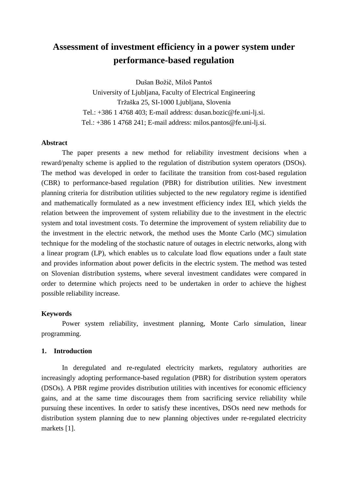# **Assessment of investment efficiency in a power system under performance-based regulation**

Dušan Božič, Miloš Pantoš University of Ljubljana, Faculty of Electrical Engineering Tržaška 25, SI-1000 Ljubljana, Slovenia Tel.: +386 1 4768 403; E-mail address: dusan.bozic@fe.uni-lj.si. Tel.: +386 1 4768 241; E-mail address: milos.pantos@fe.uni-lj.si.

## **Abstract**

The paper presents a new method for reliability investment decisions when a reward/penalty scheme is applied to the regulation of distribution system operators (DSOs). The method was developed in order to facilitate the transition from cost-based regulation (CBR) to performance-based regulation (PBR) for distribution utilities. New investment planning criteria for distribution utilities subjected to the new regulatory regime is identified and mathematically formulated as a new investment efficiency index IEI, which yields the relation between the improvement of system reliability due to the investment in the electric system and total investment costs. To determine the improvement of system reliability due to the investment in the electric network, the method uses the Monte Carlo (MC) simulation technique for the modeling of the stochastic nature of outages in electric networks, along with a linear program (LP), which enables us to calculate load flow equations under a fault state and provides information about power deficits in the electric system. The method was tested on Slovenian distribution systems, where several investment candidates were compared in order to determine which projects need to be undertaken in order to achieve the highest possible reliability increase.

#### **Keywords**

Power system reliability, investment planning, Monte Carlo simulation, linear programming.

## **1. Introduction**

In deregulated and re-regulated electricity markets, regulatory authorities are increasingly adopting performance-based regulation (PBR) for distribution system operators (DSOs). A PBR regime provides distribution utilities with incentives for economic efficiency gains, and at the same time discourages them from sacrificing service reliability while pursuing these incentives. In order to satisfy these incentives, DSOs need new methods for distribution system planning due to new planning objectives under re-regulated electricity markets [\[1\].](#page-11-0)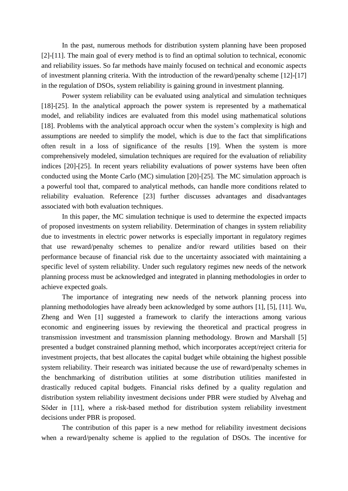In the past, numerous methods for distribution system planning have been proposed [\[2\]-](#page-11-1)[\[11\].](#page-11-2) The main goal of every method is to find an optimal solution to technical, economic and reliability issues. So far methods have mainly focused on technical and economic aspects of investment planning criteria. With the introduction of the reward/penalty scheme [\[12\]](#page-12-0)[-\[17\]](#page-12-1) in the regulation of DSOs, system reliability is gaining ground in investment planning.

Power system reliability can be evaluated using analytical and simulation techniques [\[18\]-](#page-12-2)[\[25\].](#page-12-3) In the analytical approach the power system is represented by a mathematical model, and reliability indices are evaluated from this model using mathematical solutions [\[18\].](#page-12-2) Problems with the analytical approach occur when the system's complexity is high and assumptions are needed to simplify the model, which is due to the fact that simplifications often result in a loss of significance of the results [\[19\].](#page-12-4) When the system is more comprehensively modeled, simulation techniques are required for the evaluation of reliability indices [\[20\]](#page-12-5)[-\[25\].](#page-12-3) In recent years reliability evaluations of power systems have been often conducted using the Monte Carlo (MC) simulation [\[20\]-](#page-12-5)[\[25\].](#page-12-3) The MC simulation approach is a powerful tool that, compared to analytical methods, can handle more conditions related to reliability evaluation. Reference [\[23\]](#page-12-6) further discusses advantages and disadvantages associated with both evaluation techniques.

In this paper, the MC simulation technique is used to determine the expected impacts of proposed investments on system reliability. Determination of changes in system reliability due to investments in electric power networks is especially important in regulatory regimes that use reward/penalty schemes to penalize and/or reward utilities based on their performance because of financial risk due to the uncertainty associated with maintaining a specific level of system reliability. Under such regulatory regimes new needs of the network planning process must be acknowledged and integrated in planning methodologies in order to achieve expected goals.

The importance of integrating new needs of the network planning process into planning methodologies have already been acknowledged by some authors [\[1\],](#page-11-0) [\[5\],](#page-11-3) [\[11\].](#page-11-2) Wu, Zheng and Wen [\[1\]](#page-11-0) suggested a framework to clarify the interactions among various economic and engineering issues by reviewing the theoretical and practical progress in transmission investment and transmission planning methodology. Brown and Marshall [\[5\]](#page-11-3) presented a budget constrained planning method, which incorporates accept/reject criteria for investment projects, that best allocates the capital budget while obtaining the highest possible system reliability. Their research was initiated because the use of reward/penalty schemes in the benchmarking of distribution utilities at some distribution utilities manifested in drastically reduced capital budgets. Financial risks defined by a quality regulation and distribution system reliability investment decisions under PBR were studied by Alvehag and Söder in [\[11\],](#page-11-2) where a risk-based method for distribution system reliability investment decisions under PBR is proposed.

The contribution of this paper is a new method for reliability investment decisions when a reward/penalty scheme is applied to the regulation of DSOs. The incentive for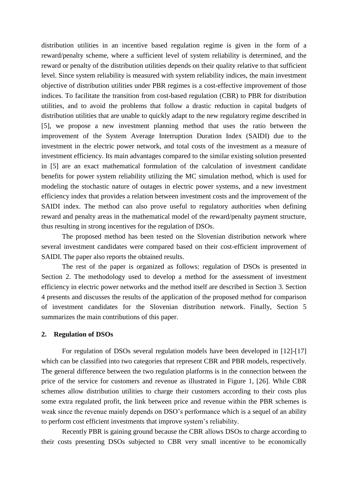distribution utilities in an incentive based regulation regime is given in the form of a reward/penalty scheme, where a sufficient level of system reliability is determined, and the reward or penalty of the distribution utilities depends on their quality relative to that sufficient level. Since system reliability is measured with system reliability indices, the main investment objective of distribution utilities under PBR regimes is a cost-effective improvement of those indices. To facilitate the transition from cost-based regulation (CBR) to PBR for distribution utilities, and to avoid the problems that follow a drastic reduction in capital budgets of distribution utilities that are unable to quickly adapt to the new regulatory regime described in [\[5\],](#page-11-3) we propose a new investment planning method that uses the ratio between the improvement of the System Average Interruption Duration Index (SAIDI) due to the investment in the electric power network, and total costs of the investment as a measure of investment efficiency. Its main advantages compared to the similar existing solution presented in [\[5\]](#page-11-3) are an exact mathematical formulation of the calculation of investment candidate benefits for power system reliability utilizing the MC simulation method, which is used for modeling the stochastic nature of outages in electric power systems, and a new investment efficiency index that provides a relation between investment costs and the improvement of the SAIDI index. The method can also prove useful to regulatory authorities when defining reward and penalty areas in the mathematical model of the reward/penalty payment structure, thus resulting in strong incentives for the regulation of DSOs.

The proposed method has been tested on the Slovenian distribution network where several investment candidates were compared based on their cost-efficient improvement of SAIDI. The paper also reports the obtained results.

The rest of the paper is organized as follows: regulation of DSOs is presented in Section [2.](#page-2-0) The methodology used to develop a method for the assessment of investment efficiency in electric power networks and the method itself are described in Section [3.](#page-3-0) Section [4](#page-8-0) presents and discusses the results of the application of the proposed method for comparison of investment candidates for the Slovenian distribution network. Finally, Section [5](#page-10-0) summarizes the main contributions of this paper.

#### <span id="page-2-0"></span>**2. Regulation of DSOs**

For regulation of DSOs several regulation models have been developed in [\[12\]](#page-12-0)[-\[17\]](#page-12-1) which can be classified into two categories that represent CBR and PBR models, respectively. The general difference between the two regulation platforms is in the connection between the price of the service for customers and revenue as illustrated in [Figure 1,](#page-14-0) [\[26\].](#page-12-7) While CBR schemes allow distribution utilities to charge their customers according to their costs plus some extra regulated profit, the link between price and revenue within the PBR schemes is weak since the revenue mainly depends on DSO's performance which is a sequel of an ability to perform cost efficient investments that improve system's reliability.

Recently PBR is gaining ground because the CBR allows DSOs to charge according to their costs presenting DSOs subjected to CBR very small incentive to be economically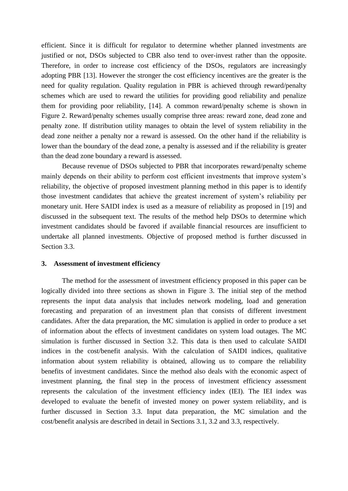efficient. Since it is difficult for regulator to determine whether planned investments are justified or not, DSOs subjected to CBR also tend to over-invest rather than the opposite. Therefore, in order to increase cost efficiency of the DSOs, regulators are increasingly adopting PBR [\[13\].](#page-12-8) However the stronger the cost efficiency incentives are the greater is the need for quality regulation. Quality regulation in PBR is achieved through reward/penalty schemes which are used to reward the utilities for providing good reliability and penalize them for providing poor reliability, [\[14\].](#page-12-9) A common reward/penalty scheme is shown in [Figure 2.](#page-14-1) Reward/penalty schemes usually comprise three areas: reward zone, dead zone and penalty zone. If distribution utility manages to obtain the level of system reliability in the dead zone neither a penalty nor a reward is assessed. On the other hand if the reliability is lower than the boundary of the dead zone, a penalty is assessed and if the reliability is greater than the dead zone boundary a reward is assessed.

Because revenue of DSOs subjected to PBR that incorporates reward/penalty scheme mainly depends on their ability to perform cost efficient investments that improve system's reliability, the objective of proposed investment planning method in this paper is to identify those investment candidates that achieve the greatest increment of system's reliability per monetary unit. Here SAIDI index is used as a measure of reliability as proposed in [\[19\]](#page-12-4) and discussed in the subsequent text. The results of the method help DSOs to determine which investment candidates should be favored if available financial resources are insufficient to undertake all planned investments. Objective of proposed method is further discussed in Section [3.3.](#page-7-0)

### <span id="page-3-0"></span>**3. Assessment of investment efficiency**

The method for the assessment of investment efficiency proposed in this paper can be logically divided into three sections as shown in [Figure 3.](#page-14-2) The initial step of the method represents the input data analysis that includes network modeling, load and generation forecasting and preparation of an investment plan that consists of different investment candidates. After the data preparation, the MC simulation is applied in order to produce a set of information about the effects of investment candidates on system load outages. The MC simulation is further discussed in Section [3.2.](#page-4-0) This data is then used to calculate SAIDI indices in the cost/benefit analysis. With the calculation of SAIDI indices, qualitative information about system reliability is obtained, allowing us to compare the reliability benefits of investment candidates. Since the method also deals with the economic aspect of investment planning, the final step in the process of investment efficiency assessment represents the calculation of the investment efficiency index (IEI). The IEI index was developed to evaluate the benefit of invested money on power system reliability, and is further discussed in Section [3.3.](#page-7-0) Input data preparation, the MC simulation and the cost/benefit analysis are described in detail in Sections [3.1,](#page-4-1) [3.2](#page-4-0) and [3.3,](#page-7-0) respectively.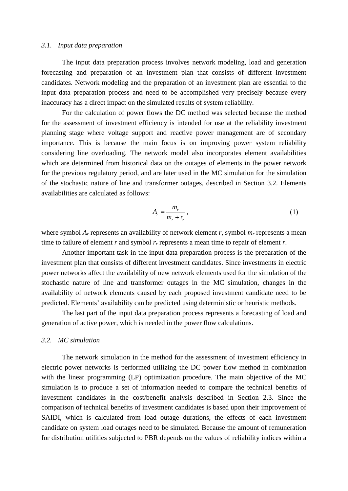#### <span id="page-4-1"></span>*3.1. Input data preparation*

The input data preparation process involves network modeling, load and generation forecasting and preparation of an investment plan that consists of different investment candidates. Network modeling and the preparation of an investment plan are essential to the input data preparation process and need to be accomplished very precisely because every inaccuracy has a direct impact on the simulated results of system reliability.

For the calculation of power flows the DC method was selected because the method for the assessment of investment efficiency is intended for use at the reliability investment planning stage where voltage support and reactive power management are of secondary importance. This is because the main focus is on improving power system reliability considering line overloading. The network model also incorporates element availabilities which are determined from historical data on the outages of elements in the power network for the previous regulatory period, and are later used in the MC simulation for the simulation of the stochastic nature of line and transformer outages, described in Section [3.2.](#page-4-0) Elements availabilities are calculated as follows:

$$
A_r = \frac{m_r}{m_r + r_r},\tag{1}
$$

where symbol  $A_r$  represents an availability of network element *r*, symbol  $m_r$  represents a mean time to failure of element *r* and symbol *r<sup>r</sup>* represents a mean time to repair of element *r*.

Another important task in the input data preparation process is the preparation of the investment plan that consists of different investment candidates. Since investments in electric power networks affect the availability of new network elements used for the simulation of the stochastic nature of line and transformer outages in the MC simulation, changes in the availability of network elements caused by each proposed investment candidate need to be predicted. Elements' availability can be predicted using deterministic or heuristic methods.

The last part of the input data preparation process represents a forecasting of load and generation of active power, which is needed in the power flow calculations.

#### <span id="page-4-0"></span>*3.2. MC simulation*

The network simulation in the method for the assessment of investment efficiency in electric power networks is performed utilizing the DC power flow method in combination with the linear programming (LP) optimization procedure. The main objective of the MC simulation is to produce a set of information needed to compare the technical benefits of investment candidates in the cost/benefit analysis described in Section 2.3. Since the comparison of technical benefits of investment candidates is based upon their improvement of SAIDI, which is calculated from load outage durations, the effects of each investment candidate on system load outages need to be simulated. Because the amount of remuneration for distribution utilities subjected to PBR depends on the values of reliability indices within a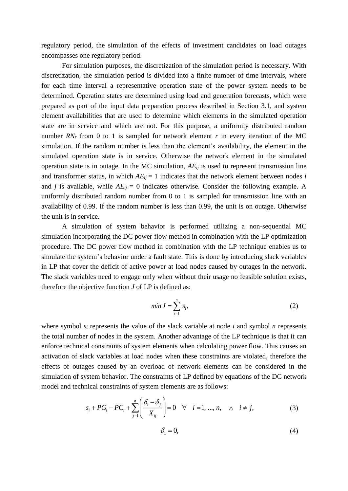regulatory period, the simulation of the effects of investment candidates on load outages encompasses one regulatory period.

For simulation purposes, the discretization of the simulation period is necessary. With discretization, the simulation period is divided into a finite number of time intervals, where for each time interval a representative operation state of the power system needs to be determined. Operation states are determined using load and generation forecasts, which were prepared as part of the input data preparation process described in Section [3.1,](#page-4-1) and system element availabilities that are used to determine which elements in the simulated operation state are in service and which are not. For this purpose, a uniformly distributed random number  $RN_r$  from 0 to 1 is sampled for network element  $r$  in every iteration of the MC simulation*.* If the random number is less than the element's availability, the element in the simulated operation state is in service. Otherwise the network element in the simulated operation state is in outage. In the MC simulation, *AEij* is used to represent transmission line and transformer status, in which  $AE_{ij} = 1$  indicates that the network element between nodes *i* and *j* is available, while  $AE_{ij} = 0$  indicates otherwise. Consider the following example. A uniformly distributed random number from 0 to 1 is sampled for transmission line with an availability of 0.99. If the random number is less than 0.99, the unit is on outage. Otherwise the unit is in service.

A simulation of system behavior is performed utilizing a non-sequential MC simulation incorporating the DC power flow method in combination with the LP optimization procedure. The DC power flow method in combination with the LP technique enables us to simulate the system's behavior under a fault state. This is done by introducing slack variables in LP that cover the deficit of active power at load nodes caused by outages in the network. The slack variables need to engage only when without their usage no feasible solution exists, therefore the objective function *J* of LP is defined as:

$$
min J = \sum_{i=1}^{n} s_i,
$$
\n(2)

where symbol  $s_i$  represents the value of the slack variable at node  $i$  and symbol  $n$  represents the total number of nodes in the system. Another advantage of the LP technique is that it can enforce technical constraints of system elements when calculating power flow. This causes an activation of slack variables at load nodes when these constraints are violated, therefore the effects of outages caused by an overload of network elements can be considered in the simulation of system behavior. The constraints of LP defined by equations of the DC network model and technical constraints of system elements are as follows:

$$
s_i + PG_i - PC_i + \sum_{j=1}^n \left( \frac{\delta_i - \delta_j}{X_{ij}} \right) = 0 \quad \forall \quad i = 1, ..., n, \quad \land \quad i \neq j,
$$
 (3)

$$
\delta_{1} = 0,\tag{4}
$$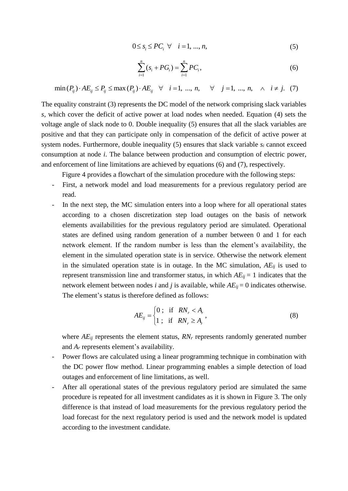$$
0 \le s_i \le PC_i \quad \forall \quad i = 1, \dots, n,\tag{5}
$$

$$
\sum_{i=1}^{n} (s_i + PG_i) = \sum_{i=1}^{n} PC_i,
$$
\n(6)

 $\min(P_{ij}) \cdot AE_{ij} \le P_{ij} \le \max(P_{ij}) \cdot AE_{ij} \quad \forall \quad i = 1, ..., n, \quad \forall \quad j = 1, ..., n, \quad \wedge \quad i \ne j.$  (7)

The equality constraint (3) represents the DC model of the network comprising slack variables *s,* which cover the deficit of active power at load nodes when needed. Equation (4) sets the voltage angle of slack node to 0. Double inequality (5) ensures that all the slack variables are positive and that they can participate only in compensation of the deficit of active power at system nodes. Furthermore, double inequality (5) ensures that slack variable *s<sup>i</sup>* cannot exceed consumption at node *i*. The balance between production and consumption of electric power, and enforcement of line limitations are achieved by equations (6) and (7), respectively.

[Figure 4](#page-15-0) provides a flowchart of the simulation procedure with the following steps:

- First, a network model and load measurements for a previous regulatory period are read.
- In the next step, the MC simulation enters into a loop where for all operational states according to a chosen discretization step load outages on the basis of network elements availabilities for the previous regulatory period are simulated. Operational states are defined using random generation of a number between 0 and 1 for each network element. If the random number is less than the element's availability, the element in the simulated operation state is in service. Otherwise the network element in the simulated operation state is in outage. In the MC simulation, *AEij* is used to represent transmission line and transformer status, in which *AEij* = 1 indicates that the network element between nodes *i* and *j* is available, while *AEij* = 0 indicates otherwise. The element's status is therefore defined as follows:

$$
AE_{ij} = \begin{cases} 0; & \text{if } RN_r < A_r \\ 1; & \text{if } RN_r \ge A_r \end{cases},
$$
 (8)

where  $AE_{ij}$  represents the element status,  $RN_r$  represents randomly generated number and *A<sup>r</sup>* represents element's availability.

- Power flows are calculated using a linear programming technique in combination with the DC power flow method. Linear programming enables a simple detection of load outages and enforcement of line limitations, as well.
- After all operational states of the previous regulatory period are simulated the same procedure is repeated for all investment candidates as it is shown in [Figure 3.](#page-14-2) The only difference is that instead of load measurements for the previous regulatory period the load forecast for the next regulatory period is used and the network model is updated according to the investment candidate.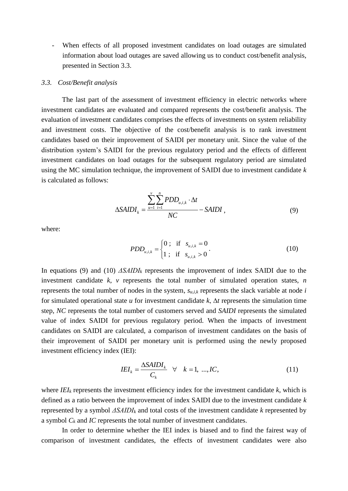When effects of all proposed investment candidates on load outages are simulated information about load outages are saved allowing us to conduct cost/benefit analysis, presented in Section [3.3.](#page-7-0)

## <span id="page-7-0"></span>*3.3. Cost/Benefit analysis*

The last part of the assessment of investment efficiency in electric networks where investment candidates are evaluated and compared represents the cost/benefit analysis. The evaluation of investment candidates comprises the effects of investments on system reliability and investment costs. The objective of the cost/benefit analysis is to rank investment candidates based on their improvement of SAIDI per monetary unit. Since the value of the distribution system's SAIDI for the previous regulatory period and the effects of different investment candidates on load outages for the subsequent regulatory period are simulated using the MC simulation technique, the improvement of SAIDI due to investment candidate *k* is calculated as follows:

$$
\Delta SAIDI_k = \frac{\sum_{u=1}^{v} \sum_{i=1}^{n} PDD_{u,i,k} \cdot \Delta t}{NC} - SAIDI , \qquad (9)
$$

where:

$$
PDD_{u,i,k} = \begin{cases} 0; & \text{if } s_{u,i,k} = 0 \\ 1; & \text{if } s_{u,i,k} > 0 \end{cases} \tag{10}
$$

In equations (9) and (10) *ΔSAIDI<sup>k</sup>* represents the improvement of index SAIDI due to the investment candidate *k*, *v* represents the total number of simulated operation states, *n*  represents the total number of nodes in the system, *su,i,k* represents the slack variable at node *i*  for simulated operational state *u* for investment candidate *k*, ∆*t* represents the simulation time step, *NC* represents the total number of customers served and *SAIDI* represents the simulated value of index SAIDI for previous regulatory period. When the impacts of investment candidates on SAIDI are calculated, a comparison of investment candidates on the basis of their improvement of SAIDI per monetary unit is performed using the newly proposed investment efficiency index (IEI):

$$
IEI_k = \frac{\Delta SAIDI_k}{C_k} \quad \forall \quad k = 1, \dots, IC,
$$
\n
$$
(11)
$$

where *IEI<sup>k</sup>* represents the investment efficiency index for the investment candidate *k*, which is defined as a ratio between the improvement of index SAIDI due to the investment candidate *k*  represented by a symbol *ΔSAIDI<sup>k</sup>* and total costs of the investment candidate *k* represented by a symbol *C<sup>k</sup>* and *IC* represents the total number of investment candidates.

In order to determine whether the IEI index is biased and to find the fairest way of comparison of investment candidates, the effects of investment candidates were also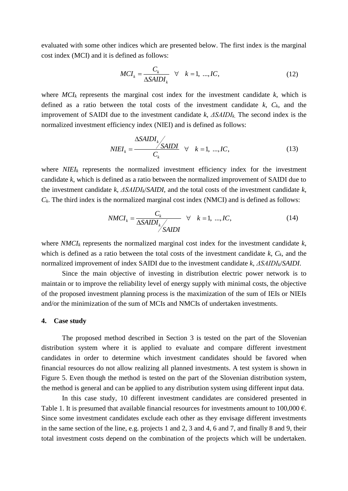evaluated with some other indices which are presented below. The first index is the marginal cost index (MCI) and it is defined as follows:

$$
MCI_k = \frac{C_k}{\Delta SAIDI_k} \quad \forall \quad k = 1, \dots, IC,
$$
\n(12)

where  $MCI_k$  represents the marginal cost index for the investment candidate  $k$ , which is defined as a ratio between the total costs of the investment candidate *k*, *Ck*, and the improvement of SAIDI due to the investment candidate *k*, *ΔSAIDIk.* The second index is the normalized investment efficiency index (NIEI) and is defined as follows:

$$
NIEI_k = \frac{\Delta SAIDI_k}{C_k} \quad \forall \quad k = 1, ..., IC,
$$
\n(13)

where  $NIEI_k$  represents the normalized investment efficiency index for the investment candidate *k*, which is defined as a ratio between the normalized improvement of SAIDI due to the investment candidate *k*, *ΔSAIDIk*/*SAIDI*, and the total costs of the investment candidate *k*,  $C_k$ . The third index is the normalized marginal cost index (NMCI) and is defined as follows:

$$
NMCI_k = \frac{C_k}{\Delta SAIDI_k} \quad \forall \quad k = 1, \dots, IC,
$$
\n(14)

where *NMCI<sup>k</sup>* represents the normalized marginal cost index for the investment candidate *k*, which is defined as a ratio between the total costs of the investment candidate *k*, *Ck*, and the normalized improvement of index SAIDI due to the investment candidate *k*, *ΔSAIDIk*/*SAIDI*.

Since the main objective of investing in distribution electric power network is to maintain or to improve the reliability level of energy supply with minimal costs, the objective of the proposed investment planning process is the maximization of the sum of IEIs or NIEIs and/or the minimization of the sum of MCIs and NMCIs of undertaken investments.

#### <span id="page-8-0"></span>**4. Case study**

The proposed method described in Section [3](#page-3-0) is tested on the part of the Slovenian distribution system where it is applied to evaluate and compare different investment candidates in order to determine which investment candidates should be favored when financial resources do not allow realizing all planned investments. A test system is shown in [Figure 5.](#page-16-0) Even though the method is tested on the part of the Slovenian distribution system, the method is general and can be applied to any distribution system using different input data.

In this case study, 10 different investment candidates are considered presented in [Table 1.](#page-18-0) It is presumed that available financial resources for investments amount to  $100,000 \text{ } \epsilon$ . Since some investment candidates exclude each other as they envisage different investments in the same section of the line, e.g. projects 1 and 2, 3 and 4, 6 and 7, and finally 8 and 9, their total investment costs depend on the combination of the projects which will be undertaken.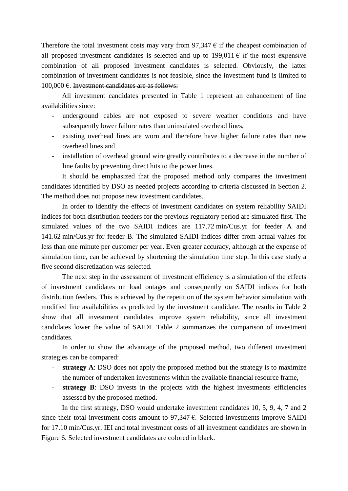Therefore the total investment costs may vary from 97,347  $\epsilon$  if the cheapest combination of all proposed investment candidates is selected and up to 199,011  $\epsilon$  if the most expensive combination of all proposed investment candidates is selected. Obviously, the latter combination of investment candidates is not feasible, since the investment fund is limited to  $100,000 \text{ } \in$ . Investment candidates are as follows:

All investment candidates presented in [Table 1](#page-18-0) represent an enhancement of line availabilities since:

- underground cables are not exposed to severe weather conditions and have subsequently lower failure rates than uninsulated overhead lines,
- existing overhead lines are worn and therefore have higher failure rates than new overhead lines and
- installation of overhead ground wire greatly contributes to a decrease in the number of line faults by preventing direct hits to the power lines.

It should be emphasized that the proposed method only compares the investment candidates identified by DSO as needed projects according to criteria discussed in Section [2.](#page-2-0) The method does not propose new investment candidates.

In order to identify the effects of investment candidates on system reliability SAIDI indices for both distribution feeders for the previous regulatory period are simulated first. The simulated values of the two SAIDI indices are 117.72 min/Cus.yr for feeder A and 141.62 min/Cus.yr for feeder B. The simulated SAIDI indices differ from actual values for less than one minute per customer per year. Even greater accuracy, although at the expense of simulation time, can be achieved by shortening the simulation time step. In this case study a five second discretization was selected.

The next step in the assessment of investment efficiency is a simulation of the effects of investment candidates on load outages and consequently on SAIDI indices for both distribution feeders. This is achieved by the repetition of the system behavior simulation with modified line availabilities as predicted by the investment candidate. The results in Table 2 show that all investment candidates improve system reliability, since all investment candidates lower the value of SAIDI. Table 2 summarizes the comparison of investment candidates.

In order to show the advantage of the proposed method, two different investment strategies can be compared:

- **strategy A**: DSO does not apply the proposed method but the strategy is to maximize the number of undertaken investments within the available financial resource frame,
- **strategy B**: DSO invests in the projects with the highest investments efficiencies assessed by the proposed method.

In the first strategy, DSO would undertake investment candidates 10, 5, 9, 4, 7 and 2 since their total investment costs amount to 97,347  $\epsilon$ . Selected investments improve SAIDI for 17.10 min/Cus.yr. IEI and total investment costs of all investment candidates are shown in [Figure 6.](#page-16-1) Selected investment candidates are colored in black.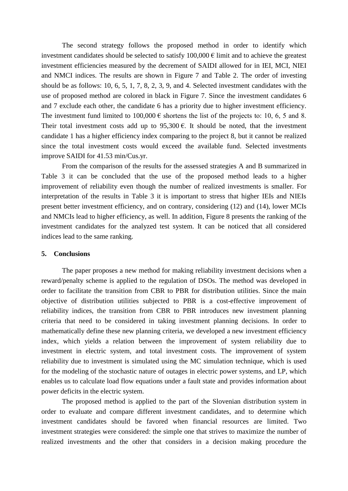The second strategy follows the proposed method in order to identify which investment candidates should be selected to satisfy  $100,000 \text{ } \in \text{limit}$  and to achieve the greatest investment efficiencies measured by the decrement of SAIDI allowed for in IEI, MCI, NIEI and NMCI indices. The results are shown in Figure 7 and Table 2. The order of investing should be as follows: 10, 6, 5, 1, 7, 8, 2, 3, 9, and 4. Selected investment candidates with the use of proposed method are colored in black in Figure 7. Since the investment candidates 6 and 7 exclude each other, the candidate 6 has a priority due to higher investment efficiency. The investment fund limited to  $100,000 \in$  shortens the list of the projects to: 10, 6, 5 and 8. Their total investment costs add up to 95,300  $\epsilon$ . It should be noted, that the investment candidate 1 has a higher efficiency index comparing to the project 8, but it cannot be realized since the total investment costs would exceed the available fund. Selected investments improve SAIDI for 41.53 min/Cus.yr.

From the comparison of the results for the assessed strategies A and B summarized in [Table 3](#page-19-0) it can be concluded that the use of the proposed method leads to a higher improvement of reliability even though the number of realized investments is smaller. For interpretation of the results in Table 3 it is important to stress that higher IEIs and NIEIs present better investment efficiency, and on contrary, considering (12) and (14), lower MCIs and NMCIs lead to higher efficiency, as well. In addition, Figure 8 presents the ranking of the investment candidates for the analyzed test system. It can be noticed that all considered indices lead to the same ranking.

### <span id="page-10-0"></span>**5. Conclusions**

The paper proposes a new method for making reliability investment decisions when a reward/penalty scheme is applied to the regulation of DSOs. The method was developed in order to facilitate the transition from CBR to PBR for distribution utilities. Since the main objective of distribution utilities subjected to PBR is a cost-effective improvement of reliability indices, the transition from CBR to PBR introduces new investment planning criteria that need to be considered in taking investment planning decisions. In order to mathematically define these new planning criteria, we developed a new investment efficiency index, which yields a relation between the improvement of system reliability due to investment in electric system, and total investment costs. The improvement of system reliability due to investment is simulated using the MC simulation technique, which is used for the modeling of the stochastic nature of outages in electric power systems, and LP, which enables us to calculate load flow equations under a fault state and provides information about power deficits in the electric system.

The proposed method is applied to the part of the Slovenian distribution system in order to evaluate and compare different investment candidates, and to determine which investment candidates should be favored when financial resources are limited. Two investment strategies were considered: the simple one that strives to maximize the number of realized investments and the other that considers in a decision making procedure the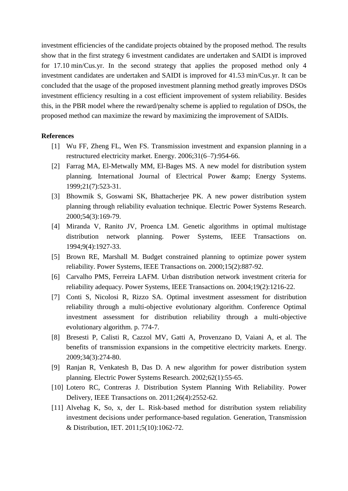investment efficiencies of the candidate projects obtained by the proposed method. The results show that in the first strategy 6 investment candidates are undertaken and SAIDI is improved for 17.10 min/Cus.yr. In the second strategy that applies the proposed method only 4 investment candidates are undertaken and SAIDI is improved for 41.53 min/Cus.yr. It can be concluded that the usage of the proposed investment planning method greatly improves DSOs investment efficiency resulting in a cost efficient improvement of system reliability. Besides this, in the PBR model where the reward/penalty scheme is applied to regulation of DSOs, the proposed method can maximize the reward by maximizing the improvement of SAIDIs.

#### <span id="page-11-0"></span>**References**

- [1] Wu FF, Zheng FL, Wen FS. Transmission investment and expansion planning in a restructured electricity market. Energy. 2006;31(6–7):954-66.
- <span id="page-11-1"></span>[2] Farrag MA, El-Metwally MM, El-Bages MS. A new model for distribution system planning. International Journal of Electrical Power & amp; Energy Systems. 1999;21(7):523-31.
- [3] Bhowmik S, Goswami SK, Bhattacherjee PK. A new power distribution system planning through reliability evaluation technique. Electric Power Systems Research. 2000;54(3):169-79.
- [4] Miranda V, Ranito JV, Proenca LM. Genetic algorithms in optimal multistage distribution network planning. Power Systems, IEEE Transactions on. 1994;9(4):1927-33.
- <span id="page-11-3"></span>[5] Brown RE, Marshall M. Budget constrained planning to optimize power system reliability. Power Systems, IEEE Transactions on. 2000;15(2):887-92.
- [6] Carvalho PMS, Ferreira LAFM. Urban distribution network investment criteria for reliability adequacy. Power Systems, IEEE Transactions on. 2004;19(2):1216-22.
- [7] Conti S, Nicolosi R, Rizzo SA. Optimal investment assessment for distribution reliability through a multi-objective evolutionary algorithm. Conference Optimal investment assessment for distribution reliability through a multi-objective evolutionary algorithm. p. 774-7.
- [8] Bresesti P, Calisti R, Cazzol MV, Gatti A, Provenzano D, Vaiani A, et al. The benefits of transmission expansions in the competitive electricity markets. Energy. 2009;34(3):274-80.
- [9] Ranjan R, Venkatesh B, Das D. A new algorithm for power distribution system planning. Electric Power Systems Research. 2002;62(1):55-65.
- [10] Lotero RC, Contreras J. Distribution System Planning With Reliability. Power Delivery, IEEE Transactions on. 2011;26(4):2552-62.
- <span id="page-11-2"></span>[11] Alvehag K, So, x, der L. Risk-based method for distribution system reliability investment decisions under performance-based regulation. Generation, Transmission & Distribution, IET. 2011;5(10):1062-72.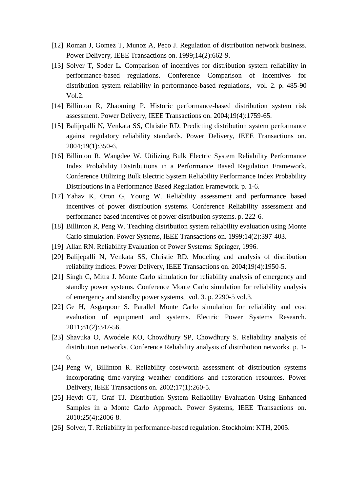- <span id="page-12-0"></span>[12] Roman J, Gomez T, Munoz A, Peco J. Regulation of distribution network business. Power Delivery, IEEE Transactions on. 1999;14(2):662-9.
- <span id="page-12-8"></span>[13] Solver T, Soder L. Comparison of incentives for distribution system reliability in performance-based regulations. Conference Comparison of incentives for distribution system reliability in performance-based regulations, vol. 2. p. 485-90 Vol.2.
- <span id="page-12-9"></span>[14] Billinton R, Zhaoming P. Historic performance-based distribution system risk assessment. Power Delivery, IEEE Transactions on. 2004;19(4):1759-65.
- [15] Balijepalli N, Venkata SS, Christie RD. Predicting distribution system performance against regulatory reliability standards. Power Delivery, IEEE Transactions on. 2004;19(1):350-6.
- [16] Billinton R, Wangdee W. Utilizing Bulk Electric System Reliability Performance Index Probability Distributions in a Performance Based Regulation Framework. Conference Utilizing Bulk Electric System Reliability Performance Index Probability Distributions in a Performance Based Regulation Framework. p. 1-6.
- <span id="page-12-1"></span>[17] Yahav K, Oron G, Young W. Reliability assessment and performance based incentives of power distribution systems. Conference Reliability assessment and performance based incentives of power distribution systems. p. 222-6.
- <span id="page-12-2"></span>[18] Billinton R, Peng W. Teaching distribution system reliability evaluation using Monte Carlo simulation. Power Systems, IEEE Transactions on. 1999;14(2):397-403.
- <span id="page-12-4"></span>[19] Allan RN. Reliability Evaluation of Power Systems: Springer, 1996.
- <span id="page-12-5"></span>[20] Balijepalli N, Venkata SS, Christie RD. Modeling and analysis of distribution reliability indices. Power Delivery, IEEE Transactions on. 2004;19(4):1950-5.
- [21] Singh C, Mitra J. Monte Carlo simulation for reliability analysis of emergency and standby power systems. Conference Monte Carlo simulation for reliability analysis of emergency and standby power systems, vol. 3. p. 2290-5 vol.3.
- [22] Ge H, Asgarpoor S. Parallel Monte Carlo simulation for reliability and cost evaluation of equipment and systems. Electric Power Systems Research. 2011;81(2):347-56.
- <span id="page-12-6"></span>[23] Shavuka O, Awodele KO, Chowdhury SP, Chowdhury S. Reliability analysis of distribution networks. Conference Reliability analysis of distribution networks. p. 1- 6.
- [24] Peng W, Billinton R. Reliability cost/worth assessment of distribution systems incorporating time-varying weather conditions and restoration resources. Power Delivery, IEEE Transactions on. 2002;17(1):260-5.
- <span id="page-12-3"></span>[25] Heydt GT, Graf TJ. Distribution System Reliability Evaluation Using Enhanced Samples in a Monte Carlo Approach. Power Systems, IEEE Transactions on. 2010;25(4):2006-8.
- <span id="page-12-7"></span>[26] Solver, T. Reliability in performance-based regulation. Stockholm: KTH, 2005.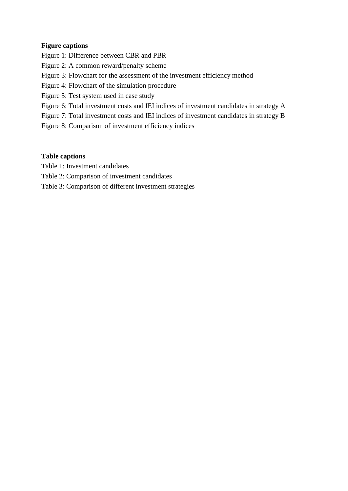# **Figure captions**

[Figure 1: Difference between CBR and PBR](#page-14-0)

- [Figure 2: A common reward/penalty scheme](#page-14-1)
- [Figure 3: Flowchart for the assessment of the investment efficiency method](#page-14-2)
- [Figure 4: Flowchart of the simulation procedure](#page-15-0)
- [Figure 5: Test system used in case study](#page-16-0)
- [Figure 6: Total investment costs and IEI indices of investment candidates](#page-16-1) in strategy A
- [Figure 7: Total investment costs and IEI indices of investment candidates](#page-17-0) in strategy B
- [Figure 8: Comparison of investment efficiency indices](#page-17-1)

## **Table captions**

- [Table 1: Investment candidates](#page-18-0)
- [Table 2: Comparison of investment candidates](#page-18-1)
- [Table 3: Comparison of different investment strategies](#page-19-0)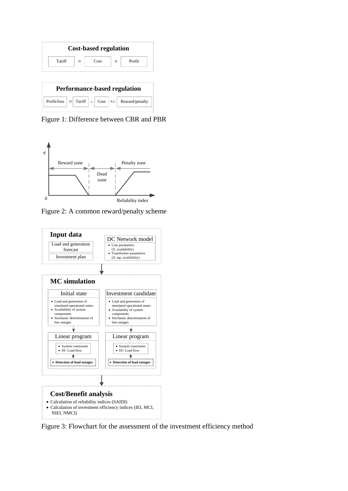

<span id="page-14-0"></span>Figure 1: Difference between CBR and PBR



<span id="page-14-1"></span>Figure 2: A common reward/penalty scheme



<span id="page-14-2"></span>Figure 3: Flowchart for the assessment of the investment efficiency method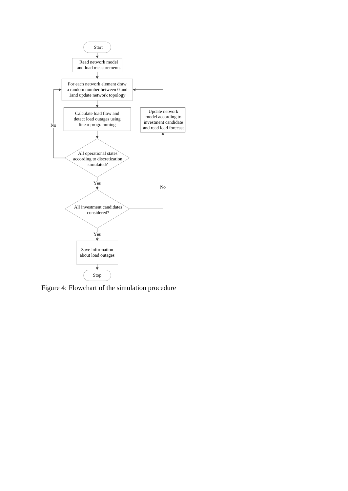

<span id="page-15-0"></span>Figure 4: Flowchart of the simulation procedure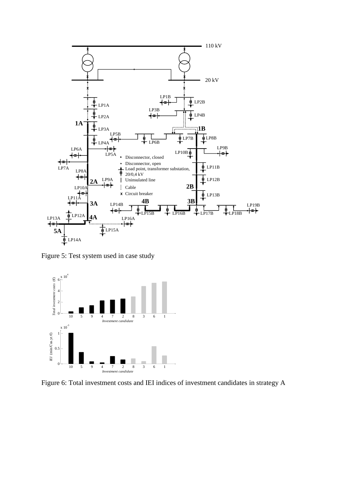

<span id="page-16-0"></span>Figure 5: Test system used in case study



<span id="page-16-1"></span>Figure 6: Total investment costs and IEI indices of investment candidates in strategy A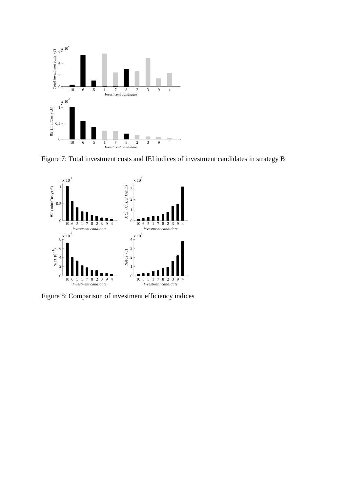

<span id="page-17-0"></span>Figure 7: Total investment costs and IEI indices of investment candidates in strategy B



<span id="page-17-1"></span>Figure 8: Comparison of investment efficiency indices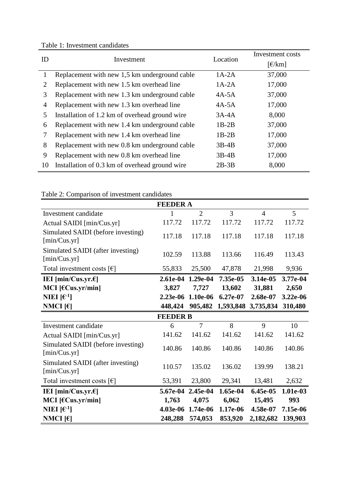# <span id="page-18-0"></span>Table 1: Investment candidates

| ID | Investment                                     | Location | Investment costs                    |  |
|----|------------------------------------------------|----------|-------------------------------------|--|
|    |                                                |          | $\lceil \frac{\epsilon}{km} \rceil$ |  |
|    | Replacement with new 1,5 km underground cable  | $1A-2A$  | 37,000                              |  |
| 2  | Replacement with new 1.5 km overhead line      | $1A-2A$  | 17,000                              |  |
| 3  | Replacement with new 1.3 km underground cable  | $4A-5A$  | 37,000                              |  |
| 4  | Replacement with new 1.3 km overhead line      | $4A-5A$  | 17,000                              |  |
| 5  | Installation of 1.2 km of overhead ground wire | $3A-4A$  | 8,000                               |  |
| 6  | Replacement with new 1.4 km underground cable  | $1B-2B$  | 37,000                              |  |
| 7  | Replacement with new 1.4 km overhead line      | $1B-2B$  | 17,000                              |  |
| 8  | Replacement with new 0.8 km underground cable  | $3B-4B$  | 37,000                              |  |
| 9  | Replacement with new 0.8 km overhead line      | $3B-4B$  | 17,000                              |  |
| 10 | Installation of 0.3 km of overhead ground wire | $2B-3B$  | 8,000                               |  |

# <span id="page-18-1"></span>Table 2: Comparison of investment candidates

| <b>FEEDER A</b>                                             |                 |                |           |                |          |  |  |
|-------------------------------------------------------------|-----------------|----------------|-----------|----------------|----------|--|--|
| Investment candidate                                        | $\mathbf{1}$    | $\overline{2}$ | 3         | $\overline{4}$ | 5        |  |  |
| Actual SAIDI [min/Cus.yr]                                   | 117.72          | 117.72         | 117.72    | 117.72         | 117.72   |  |  |
| Simulated SAIDI (before investing)<br>$[\text{min/Cus.yr}]$ | 117.18          | 117.18         | 117.18    | 117.18         | 117.18   |  |  |
| Simulated SAIDI (after investing)<br>[min/Cus.yr]           | 102.59          | 113.88         | 113.66    | 116.49         | 113.43   |  |  |
| Total investment costs $\lceil \epsilon \rceil$             | 55,833          | 25,500         | 47,878    | 21,998         | 9,936    |  |  |
| IEI [min/Cus.yr. $\epsilon$ ]                               | 2.61e-04        | $1.29e-04$     | 7.35e-05  | 3.14e-05       | 3.77e-04 |  |  |
| MCI [€Cus.yr/min]                                           | 3,827           | 7,727          | 13,602    | 31,881         | 2,650    |  |  |
| NIEI $[\mathbf{\epsilon}^{-1}]$                             | 2.23e-06        | 1.10e-06       | 6.27e-07  | 2.68e-07       | 3.22e-06 |  |  |
| NMCI $[6]$                                                  | 448,424         | 905,482        | 1,593,848 | 3,735,834      | 310,480  |  |  |
|                                                             |                 |                |           |                |          |  |  |
|                                                             | <b>FEEDER B</b> |                |           |                |          |  |  |
| Investment candidate                                        | 6               | $\overline{7}$ | 8         | 9              | 10       |  |  |
| Actual SAIDI [min/Cus.yr]                                   | 141.62          | 141.62         | 141.62    | 141.62         | 141.62   |  |  |
| Simulated SAIDI (before investing)<br>[min/Cus.yr]          | 140.86          | 140.86         | 140.86    | 140.86         | 140.86   |  |  |
| Simulated SAIDI (after investing)<br>[min/Cus.yr]           | 110.57          | 135.02         | 136.02    | 139.99         | 138.21   |  |  |
| Total investment costs $\lceil \epsilon \rceil$             | 53,391          | 23,800         | 29,341    | 13,481         | 2,632    |  |  |
| IEI [ $min/Cus.yr.\epsilon$ ]                               | 5.67e-04        | 2.45e-04       | 1.65e-04  | $6.45e-05$     | 1.01e-03 |  |  |
| $MCI$ [ $ECus.yr/min$ ]                                     | 1,763           | 4,075          | 6,062     | 15,495         | 993      |  |  |
| NIEI $[\mathbf{\epsilon}^{\text{-}1}]$                      | 4.03e-06        | 1.74e-06       | 1.17e-06  | 4.58e-07       | 7.15e-06 |  |  |